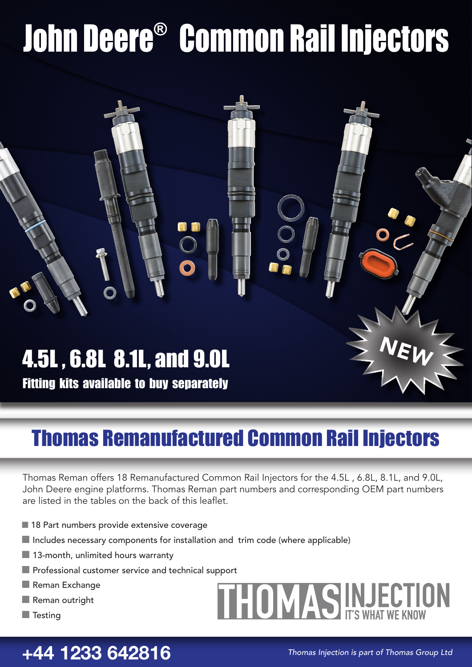# **John Deere® Common Rail Injectors**



Fitting kits available to buy separately

# Thomas Remanufactured Common Rail Injectors

Thomas Reman offers 18 Remanufactured Common Rail Injectors for the 4.5L , 6.8L, 8.1L, and 9.0L, John Deere engine platforms. Thomas Reman part numbers and corresponding OEM part numbers are listed in the tables on the back of this leaflet.

- 18 Part numbers provide extensive coverage
- $\blacksquare$  Includes necessary components for installation and trim code (where applicable)
- $\blacksquare$  13-month, unlimited hours warranty
- $\blacksquare$  Professional customer service and technical support
- $\blacksquare$  Reman Exchange
- $\blacksquare$  Reman outright
- $\blacksquare$  Testing

# THOMAS INJECTION

### **+44 1233 642816** *Thomas Injection is part of Thomas Group Ltd*

NEW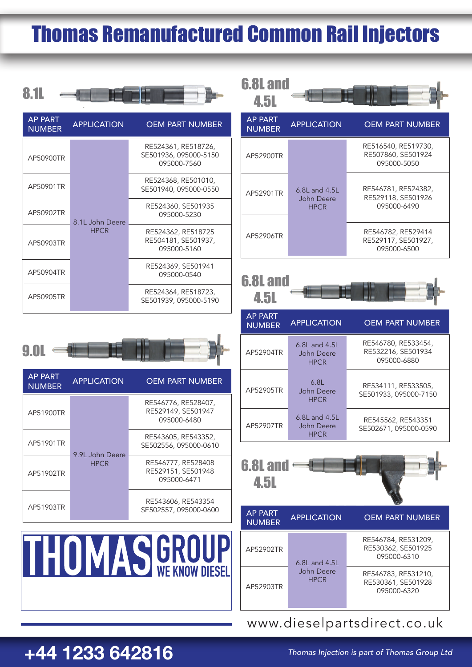# Thomas Remanufactured Common Rail Injectors

| <b>AP PART</b><br><b>NUMBER</b> | <b>APPLICATION</b>             | <b>OEM PART NUMBER</b>                                      |
|---------------------------------|--------------------------------|-------------------------------------------------------------|
| AP50900TR                       | 8.1L John Deere<br><b>HPCR</b> | RE524361, RE518726,<br>SE501936, 095000-5150<br>095000-7560 |
| AP50901TR                       |                                | RE524368, RE501010,<br>SE501940, 095000-0550                |
| AP50902TR                       |                                | RE524360, SE501935<br>095000-5230                           |
| AP50903TR                       |                                | RE524362, RE518725<br>RE504181, SE501937,<br>095000-5160    |
| AP50904TR                       |                                | RE524369, SE501941<br>095000-0540                           |
| AP50905TR                       |                                | RE524364, RE518723,<br>SE501939, 095000-5190                |



| <b>6.8L and</b><br><b>4.5L</b>  |                                                  |                                                          |  |  |
|---------------------------------|--------------------------------------------------|----------------------------------------------------------|--|--|
| <b>AP PART</b><br><b>NUMBER</b> | <b>APPLICATION</b>                               | <b>OEM PART NUMBER</b>                                   |  |  |
| AP52904TR                       | 6.8L and 4.5L<br>John Deere<br><b>HPCR</b>       | RE546780, RE533454,<br>RE532216, SE501934<br>095000-6880 |  |  |
| AP52905TR                       | 6.8L<br>John Deere<br><b>HPCR</b>                | RE534111, RE533505,<br>SE501933, 095000-7150             |  |  |
| AP52907TR                       | $6.8$ L and $4.5$ L<br>John Deere<br><b>HPCR</b> | RE545562, RE543351<br>SE502671, 095000-0590              |  |  |
| <b>6.8L and</b><br><b>4.5L</b>  |                                                  |                                                          |  |  |
| <b>AP PART</b>                  | A DDI IC ATIONI                                  | <b>IN ADED</b>                                           |  |  |

| .<br><b>NUMBER</b> | <b>APPLICATION</b>                         | <b>OEM PART NUMBER</b>                                   |
|--------------------|--------------------------------------------|----------------------------------------------------------|
| AP52902TR          | 6.8L and 4.5L<br>John Deere<br><b>HPCR</b> | RE546784, RE531209,<br>RE530362, SE501925<br>095000-6310 |
| AP52903TR          |                                            | RE546783, RE531210,<br>RE530361, SE501928<br>095000-6320 |

#### www.dieselpartsdirect.co.uk

| 9.01 |
|------|
|------|

| <b>AP PART</b><br><b>NUMBER</b> | <b>APPLICATION</b>             | <b>OEM PART NUMBER</b>                                   |
|---------------------------------|--------------------------------|----------------------------------------------------------|
| AP51900TR                       | 9.9L John Deere<br><b>HPCR</b> | RE546776, RE528407,<br>RE529149, SE501947<br>095000-6480 |
| AP51901TR                       |                                | RE543605, RE543352,<br>SE502556, 095000-0610             |
| AP51902TR                       |                                | RE546777, RE528408<br>RE529151, SE501948<br>095000-6471  |
| AP51903TR                       |                                | RE543606, RE543354<br>SE502557, 095000-0600              |



### **+44 1233 642816**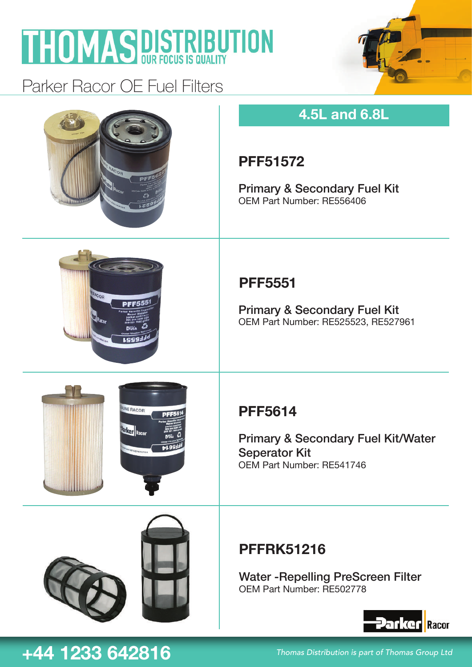# **THOMAS DISTRIBUTION**

Parker Racor OE Fuel Filters





#### **4.5L and 6.8L**

### **PFF51572**

Primary & Secondary Fuel Kit OEM Part Number: RE556406



### **PFF5551**

Primary & Secondary Fuel Kit OEM Part Number: RE525523, RE527961



Primary & Secondary Fuel Kit/Water Seperator Kit OEM Part Number: RE541746



ERACOR

**Irker** Racon

#### **PFFRK51216**

Water -Repelling PreScreen Filter OEM Part Number: RE502778



### **+44 1233 642816** *Thomas Distribution is part of Thomas Group Ltd*